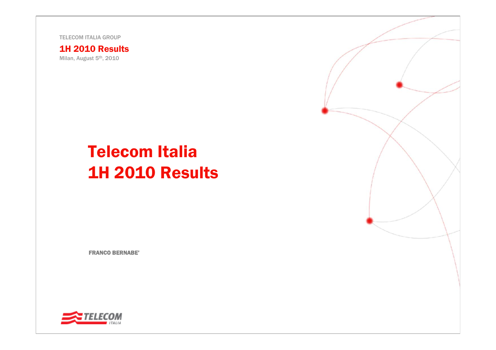TELECOM ITALIA GROUP

1H 2010 Results

Milan, August 5<sup>th</sup>, 2010

# Telecom Italia 1H 2010 Results

FRANCO BERNABE'

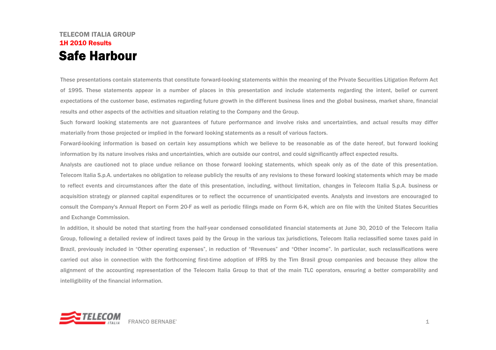### TELECOM ITALIA GROUP1H 2010 ResultsSafe Harbour

These presentations contain statements that constitute forward-looking statements within the meaning of the Private Securities Litigation Reform Act of 1995. These statements appear in a number of places in this presentation and include statements regarding the intent, belief or current expectations of the customer base, estimates regarding future growth in the different business lines and the global business, market share, financial results and other aspects of the activities and situation relating to the Company and the Group.

Such forward looking statements are not guarantees of future performance and involve risks and uncertainties, and actual results may differ materially from those projected or implied in the forward looking statements as a result of various factors.

Forward-looking information is based on certain key assumptions which we believe to be reasonable as of the date hereof, but forward looking information by its nature involves risks and uncertainties, which are outside our control, and could significantly affect expected results.

Analysts are cautioned not to place undue reliance on those forward looking statements, which speak only as of the date of this presentation. Telecom Italia S.p.A. undertakes no obligation to release publicly the results of any revisions to these forward looking statements which may be made to reflect events and circumstances after the date of this presentation, including, without limitation, changes in Telecom Italia S.p.A. business or acquisition strategy or planned capital expenditures or to reflect the occurrence of unanticipated events. Analysts and investors are encouraged to consult the Company's Annual Report on Form 20-F as well as periodic filings made on Form 6-K, which are on file with the United States Securities and Exchange Commission.

In addition, it should be noted that starting from the half-year condensed consolidated financial statements at June 30, 2010 of the Telecom Italia Group, following a detailed review of indirect taxes paid by the Group in the various tax jurisdictions, Telecom Italia reclassified some taxes paid in Brazil, previously included in "Other operating expenses", in reduction of "Revenues" and "Other income". In particular, such reclassifications were carried out also in connection with the forthcoming first-time adoption of IFRS by the Tim Brasil group companies and because they allow the alignment of the accounting representation of the Telecom Italia Group to that of the main TLC operators, ensuring a better comparability and intelligibility of the financial information.

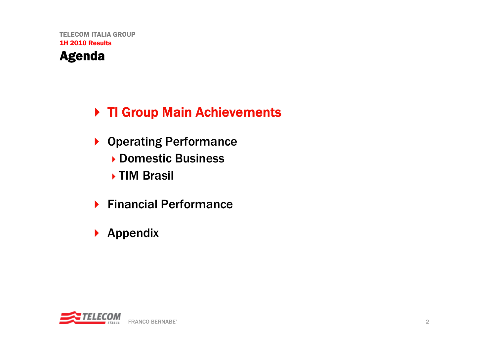## Agenda

## ▶ TI Group Main Achievements

- ▶ Operating Performance
	- ▶ Domestic Business
	- ▶ TIM Brasil
- ▶ Financial Performance
- $\blacktriangleright$  Appendix

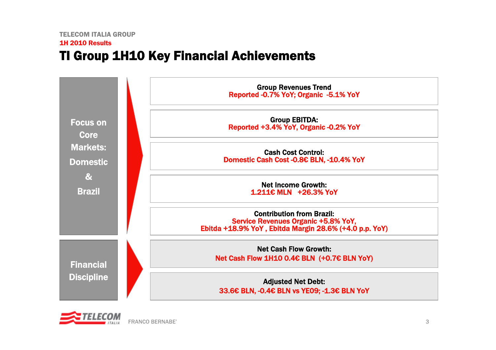## TI Group 1H10 Key Financial Achievements



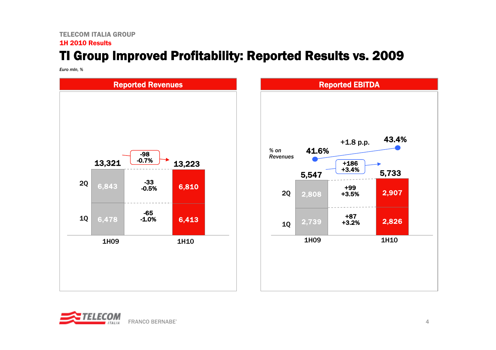## TI Group Improved Profitability: Reported Results vs. 2009

*Euro mln, %*





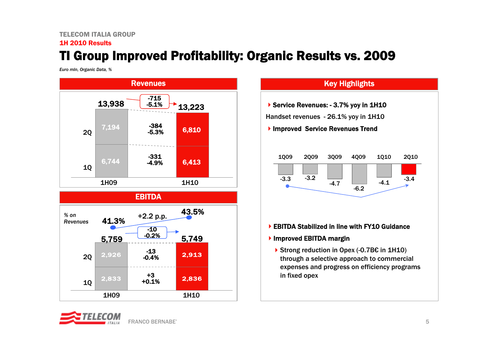#### TELECOM ITALIA GROUP1H 2010 Results

## TI Group Improved Profitability: Organic Results vs. 2009

*Euro mln, Organic Data, %*





#### Key Highlights

▶ Service Revenues: - 3.7% yoy in 1H10

Handset revenues - 26.1% yoy in 1H10

#### ▶ Improved Service Revenues Trend



#### ▶ EBITDA Stabilized in line with FY10 Guidance

#### ▶ Improved EBITDA margin

Strong reduction in Opex (-0.7B€ in 1H10) through a selective approach to commercial expenses and progress on efficiency programs in fixed opex

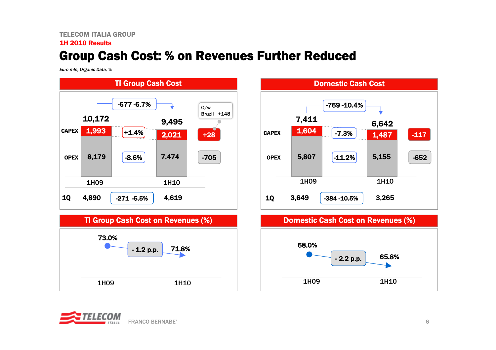#### TELECOM ITALIA GROUP1H 2010 Results

### Group Cash Cost: % on Revenues Further Reduced

*Euro mln, Organic Data, %*



TI Group Cash Cost on Revenues (%)





#### Domestic Cash Cost on Revenues (%)



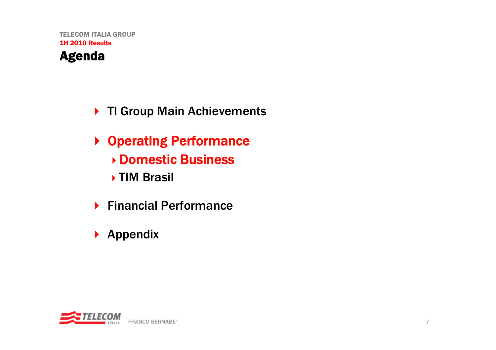## Agenda

- ▶ TI Group Main Achievements
- ▶ Operating Performance Domestic Business ▶ TIM Brasil
- ▶ Financial Performance
- $\blacktriangleright$  Appendix

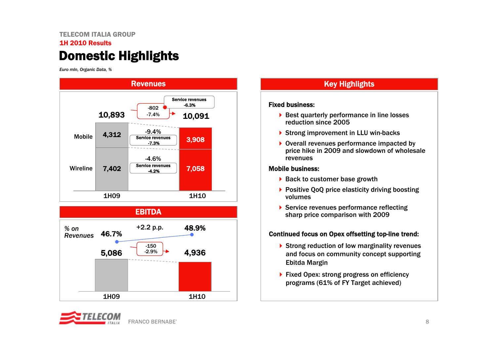### TELECOM ITALIA GROUP1H 2010 ResultsDomestic Highlights

*Euro mln, Organic Data, %*





### Key Highlights

#### Fixed business:

- ▶ Best quarterly performance in line losses reduction since 2005
- ▶ Strong improvement in LLU win-backs
- ▶ Overall revenues performance impacted by price hike in 2009 and slowdown of wholesale revenues

#### Mobile business:

- ▶ Back to customer base growth
- ▶ Positive QoQ price elasticity driving boosting volumes
- ▶ Service revenues performance reflecting sharp price comparison with 2009

#### Continued focus on Opex offsetting top-line trend:

- and focus on community concept supporting ▶ Strong reduction of low marginality revenues Ebitda Margin
- ▶ Fixed Opex: strong progress on efficiency programs (61% of FY Target achieved)

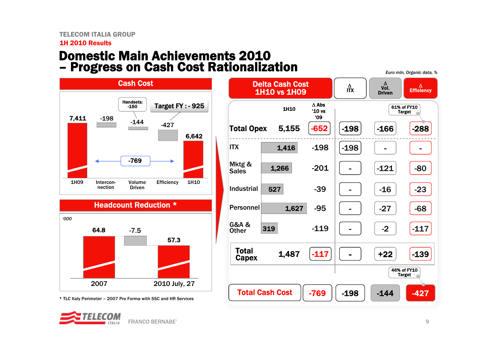### Domestic Main Achievements 2010 – Progress on Cash Cost Rationalization *Euro mln, Organic data, %*



Headcount Reduction \*



\* TLC Italy Perimeter – 2007 Pro Forma with SSC and HR Services



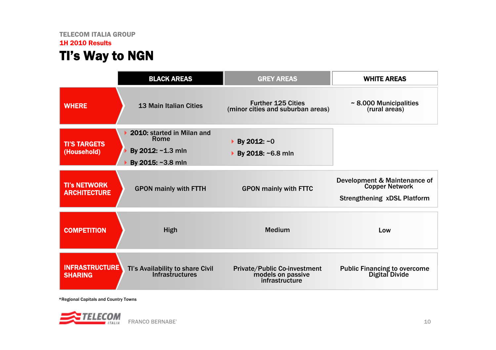### TELECOM ITALIA GROUP 1H 2010 Results TI's Way to NGN

|                                            | <b>BLACK AREAS</b>                                                           | <b>GREY AREAS</b>                                                   | <b>WHITE AREAS</b>                                                                   |
|--------------------------------------------|------------------------------------------------------------------------------|---------------------------------------------------------------------|--------------------------------------------------------------------------------------|
| <b>WHERE</b>                               | <b>13 Main Italian Cities</b>                                                | <b>Further 125 Cities</b><br>(minor cities and suburban areas)      | $\sim$ 8.000 Municipalities<br>(rural areas)                                         |
| <b>TI'S TARGETS</b><br>(Household)         | 2010: started in Milan and<br>Rome<br>By 2012: ~1.3 mln<br>By 2015: ~3.8 mln | $\triangleright$ By 2012: ~0<br>▶ By 2018: ~6.8 mln                 |                                                                                      |
| <b>TI's NETWORK</b><br><b>ARCHITECTURE</b> | <b>GPON mainly with FTTH</b>                                                 | <b>GPON mainly with FTTC</b>                                        | Development & Maintenance of<br>Copper Network<br><b>Strengthening xDSL Platform</b> |
| <b>COMPETITION</b>                         | High                                                                         | <b>Medium</b>                                                       | Low                                                                                  |
| <b>INFRASTRUCTURE</b><br><b>SHARING</b>    | Tl's Availability to share Civil<br><b>Infrastructures</b>                   | Private/Public Co-investment<br>models on passive<br>infrastructure | <b>Public Financing to overcome</b><br>Digital Divide                                |

\*Regional Capitals and Country Towns

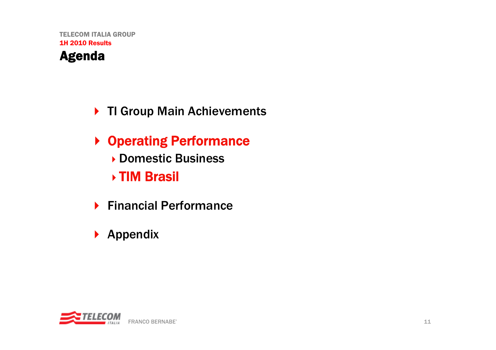## Agenda

## ▶ TI Group Main Achievements

- ▶ Operating Performance ▶ Domestic Business
	- TIM Brasil
- ▶ Financial Performance
- $\blacktriangleright$  Appendix

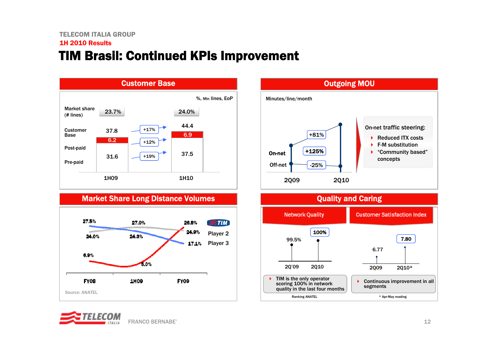### TIM Brasil: Continued KPIs Improvement



#### Market Share Long Distance Volumes







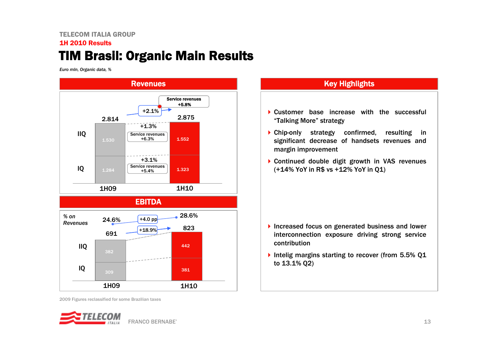### TELECOM ITALIA GROUP1H 2010 ResultsTIM Brasil: Organic Main Results

*Euro mln, Organic data, %*



2009 Figures reclassified for some Brazilian taxes



### Key Highlights

- ▶ Customer base increase with the successful "Talking More" strategy
- Chip-only strategy confirmed, resulting in significant decrease of handsets revenues and margin improvement
- Continued double digit growth in VAS revenues (+14% YoY in R\$ vs +12% YoY in Q1)

- Increased focus on generated business and lower interconnection exposure driving strong service contribution
- Intelig margins starting to recover (from 5.5% 01 to 13.1% Q2)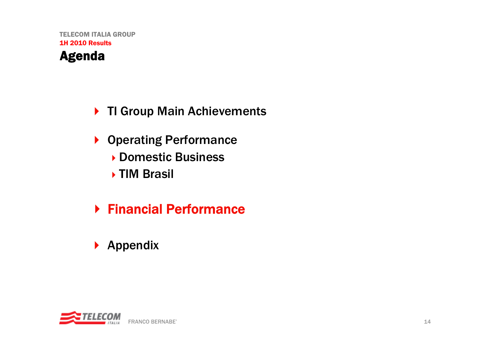## Agenda

## ▶ TI Group Main Achievements

- ▶ Operating Performance ▶ Domestic Business ▶ TIM Brasil
- Financial Performance
- $\blacktriangleright$  Appendix

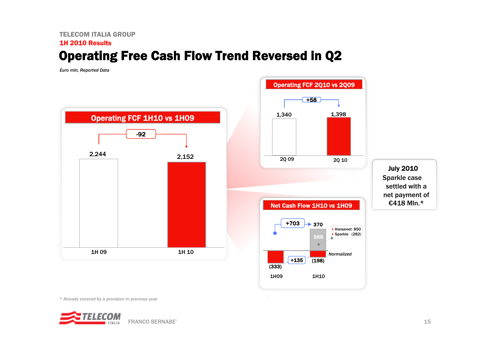### TELECOM ITALIA GROUP1H 2010 ResultsOperating Free Cash Flow Trend Reversed in Q2

*Euro mln, Reported Data*





July 2010 Sparkle case settled with a net payment of €418 Mln.\*

\* Already covered by a provision in previous year

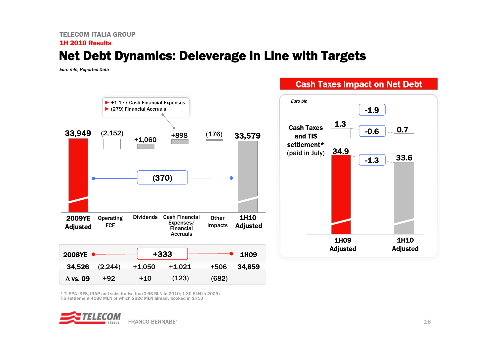### TELECOM ITALIA GROUP1H 2010 ResultsNet Debt Dynamics: Deleverage in Line with Targets

*Euro mln, Reported Data*



Cash Taxes Impact on Net Debt

\* TI SPA IRES, IRAP and substitutive tax (0.6€ BLN in 2010; 1.3€ BLN in 2009) TIS settlement 418€ MLN of which 282€ MLN already booked in 1H10

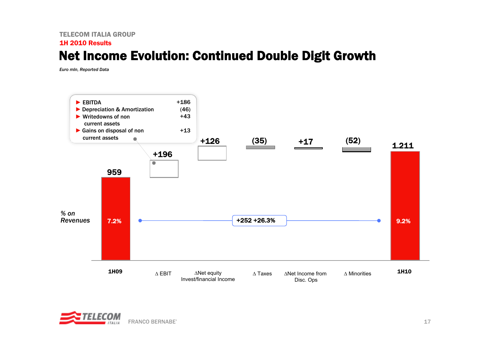### TELECOM ITALIA GROUP1H 2010 ResultsNet Income Evolution: Continued Double Digit Growth

*Euro mln, Reported Data*



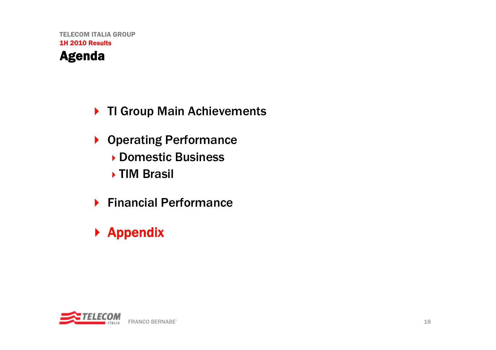## Agenda

## ▶ TI Group Main Achievements

- ▶ Operating Performance Domestic Business ▶ TIM Brasil
- ▶ Financial Performance

# ▶ Appendix

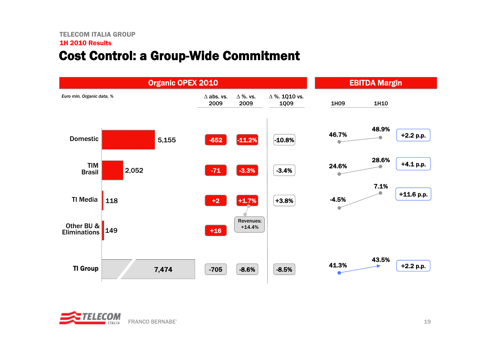### Cost Control: a Group-Wide Commitment



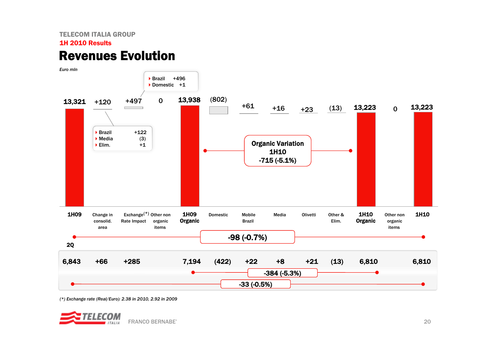### Revenues Evolution



*(\*) Exchange rate (Real/Euro): 2.38 in 2010, 2.92 in 2009*

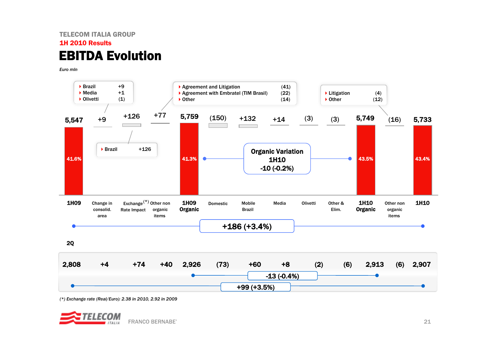### TELECOM ITALIA GROUP1H 2010 ResultsEBITDA Evolution

*Euro mln*



*(\*) Exchange rate (Real/Euro): 2.38 in 2010, 2.92 in 2009*

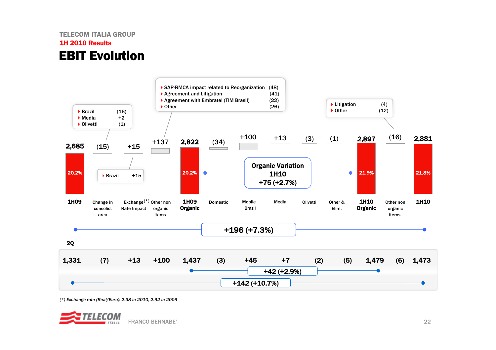### TELECOM ITALIA GROUP1H 2010 ResultsEBIT Evolution



*(\*) Exchange rate (Real/Euro): 2.38 in 2010, 2.92 in 2009*

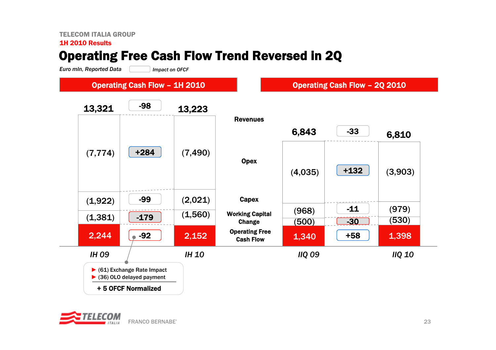### TELECOM ITALIA GROUP

#### 1H 2010 Results

## Operating Free Cash Flow Trend Reversed in 2Q

*Euro mln, Reported Data Impact on OFCF*

### Operating Cash Flow – 1H 2010

Operating Cash Flow – 2Q 2010



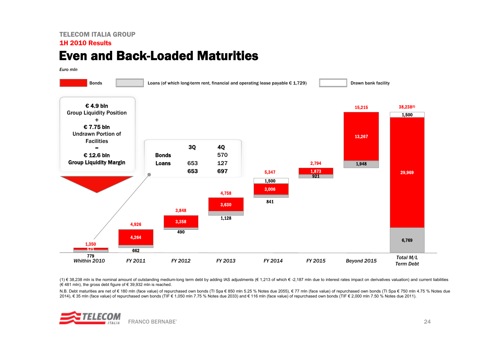#### TELECOM ITALIA GROUP1H 2010 Results

### Even and Back-Loaded Maturities

*Euro mln*



(1) € 38,238 mln is the nominal amount of outstanding medium-long term debt by adding IAS adjustments (€ 1,213 of which € -2,187 mln due to interest rates impact on derivatives valuation) and current liabilities (€ 481 mln), the gross debt figure of € 39,932 mln is reached.

N.B. Debt maturities are net of € 180 mln (face value) of repurchased own bonds (TI Spa € 850 mln 5.25 % Notes due 2055), € 77 mln (face value) of repurchased own bonds (TI Spa € 750 mln 4.75 % Notes due 2014), € 35 mln (face value) of repurchased own bonds (TIF € 1,050 mln 7.75 % Notes due 2033) and € 116 mln (face value) of repurchased own bonds (TIF € 2,000 mln 7.50 % Notes due 2011).

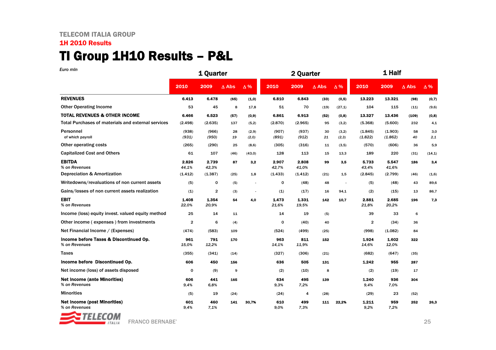### TI Group 1H10 Results – P&L

| Euro min                                                  |                | 1 Quarter      |                 |                |                | 2 Quarter      |              |                          | 1 Half             |                    |                 |            |
|-----------------------------------------------------------|----------------|----------------|-----------------|----------------|----------------|----------------|--------------|--------------------------|--------------------|--------------------|-----------------|------------|
|                                                           | 2010           | 2009           | $\triangle$ Abs | $\Delta\%$     | 2010           | 2009           | $\Delta$ Abs | $\Delta\%$               | 2010               | 2009               | $\triangle$ Abs | $\Delta\%$ |
| <b>REVENUES</b>                                           | 6.413          | 6.478          | (65)            | (1,0)          | 6.810          | 6.843          | (33)         | (0,5)                    | 13.223             | 13.321             | (98)            | (0,7)      |
| <b>Other Operating Income</b>                             | 53             | 45             | 8               | 17,8           | 51             | 70             | (19)         | (27,1)                   | 104                | 115                | (11)            | (9,6)      |
| <b>TOTAL REVENUES &amp; OTHER INCOME</b>                  | 6.466          | 6.523          | (57)            | (0, 9)         | 6.861          | 6.913          | (52)         | (0,8)                    | 13.327             | 13.436             | (109)           | (0,8)      |
| <b>Total Purchases of materials and external services</b> | (2.498)        | (2.635)        | 137             | (5,2)          | (2.870)        | (2.965)        | 95           | (3,2)                    | (5.368)            | (5.600)            | 232             | 4,1        |
| Personnel<br>of which payroll                             | (938)<br>(931) | (966)<br>(950) | 28<br>19        | (2,9)<br>(2,0) | (907)<br>(891) | (937)<br>(912) | 30<br>21     | (3,2)<br>(2,3)           | (1.845)<br>(1.822) | (1.903)<br>(1.862) | 58<br>40        | 3,0<br>2,1 |
| Other operating costs                                     | (265)          | (290)          | 25              | (8, 6)         | (305)          | (316)          | 11           | (3,5)                    | (570)              | (606)              | 36              | 5,9        |
| <b>Capitalized Cost and Others</b>                        | 61             | 107            | (46)            | (43,0)         | 128            | 113            | 15           | 13,3                     | 189                | 220                | (31)            | (14,1)     |
| <b>EBITDA</b><br>% on Revenues                            | 2.826<br>44,1% | 2.739<br>42,3% | 87              | 3,2            | 2.907<br>42,7% | 2.808<br>41,0% | 99           | 3,5                      | 5.733<br>43,4%     | 5.547<br>41.6%     | 186             | 3,4        |
| Depreciation & Amortization                               | (1.412)        | (1.387)        | (25)            | 1,8            | (1.433)        | (1.412)        | (21)         | 1,5                      | (2.845)            | (2.799)            | (46)            | (1,6)      |
| Writedowns/revaluations of non current assets             | (5)            | 0              | (5)             | ä,             | o              | (48)           | 48           | $\overline{\phantom{a}}$ | (5)                | (48)               | 43              | 89,6       |
| Gains/losses of non current assets realization            | (1)            | 2              | (3)             | $\sim$         | (1)            | (17)           | 16           | 94,1                     | (2)                | (15)               | 13              | 86,7       |
| <b>EBIT</b><br>% on Revenues                              | 1.408<br>22,0% | 1.354<br>20,9% | 54              | 4,0            | 1.473<br>21.6% | 1.331<br>19,5% | 142          | 10,7                     | 2.881<br>21,8%     | 2.685<br>20,2%     | 196             | 7,3        |
| Income (loss) equity invest. valued equity method         | 25             | 14             | 11              |                | 14             | 19             | (5)          |                          | 39                 | 33                 | 6               |            |
| Other income (expenses) from investments                  | $\overline{2}$ | 6              | (4)             |                | 0              | (40)           | 40           |                          | $\overline{2}$     | (34)               | 36              |            |
| Net Financial Income / (Expenses)                         | (474)          | (583)          | 109             |                | (524)          | (499)          | (25)         |                          | (998)              | (1.082)            | 84              |            |
| Income before Taxes & Discontinued Op.<br>% on Revenues   | 961<br>15.0%   | 791<br>12,2%   | 170             |                | 963<br>14.1%   | 811<br>11.9%   | 152          |                          | 1.924<br>14.6%     | 1.602<br>12.0%     | 322             |            |
| <b>Taxes</b>                                              | (355)          | (341)          | (14)            |                | (327)          | (306)          | (21)         |                          | (682)              | (647)              | (35)            |            |
| Income before Discontinued Op.                            | 606            | 450            | 156             |                | 636            | 505            | 131          |                          | 1.242              | 955                | 287             |            |
| Net income (loss) of assets disposed                      | $\mathbf 0$    | (9)            | 9               |                | (2)            | (10)           | 8            |                          | (2)                | (19)               | 17              |            |
| <b>Net Income (ante Minorities)</b><br>% on Revenues      | 606<br>9.4%    | 441<br>6.8%    | 165             |                | 634<br>9.3%    | 495<br>7,2%    | 139          |                          | 1.240<br>9,4%      | 936<br>7.0%        | 304             |            |
| <b>Minorities</b>                                         | (5)            | 19             | (24)            |                | (24)           | 4              | (28)         |                          | (29)               | 23                 | (52)            |            |
| <b>Net Income (post Minorities)</b><br>% on Revenues      | 601<br>9,4%    | 460<br>7.1%    | 141             | 30,7%          | 610<br>9.0%    | 499<br>7.3%    | 111          | 22.2%                    | 1.211<br>9,2%      | 959<br>7,2%        | 252             | 26,3       |

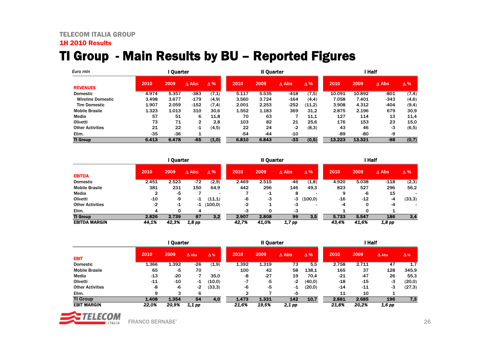### TI Group - Main Results by BU – Reported Figures

| Euro min                 |       | l Ouarter |               |            | Il Quarter |       |        |            | <b>Half</b> |        |                 |            |
|--------------------------|-------|-----------|---------------|------------|------------|-------|--------|------------|-------------|--------|-----------------|------------|
| <b>REVENUES</b>          | 2010  | 2009      | $\Lambda$ Abs | $\Delta\%$ | 2010       | 2009  | A Abs  | $\Delta\%$ | 2010        | 2009   | $\triangle$ Abs | $\Delta\%$ |
| <b>Domestic</b>          | 4.974 | 5.357     | -383          | (7,1)      | 5.117      | 5.535 | $-418$ | (7,5)      | 10.091      | 10.892 | -801            | (7,4)      |
| <b>Wireline Domestic</b> | 3.498 | 3.677     | $-179$        | (4.9)      | 3.560      | 3.724 | $-164$ | (4,4)      | 7.058       | 7.401  | -343            | (4,6)      |
| <b>Tim Domestic</b>      | 1.907 | 2.059     | $-152$        | (7,4)      | 2.001      | 2.253 | $-252$ | (11,2)     | 3.908       | 4.312  | -404            | (9,4)      |
| <b>Mobile Brasile</b>    | 1.323 | 1.013     | 310           | 30,6       | 1.552      | 1.183 | 369    | 31,2       | 2.875       | 2.196  | 679             | 30,9       |
| Media                    | 57    | 51        | 6             | 11.8       | 70         | 63    |        | 11.1       | 127         | 114    | 13              | 11.4       |
| Olivetti                 | 73    | 71        | 2             | 2.8        | 103        | 82    | 21     | 25.6       | 176         | 153    | 23              | 15,0       |
| <b>Other Activities</b>  | 21    | 22        | -1            | (4, 5)     | 22         | 24    | -2     | (8,3)      | 43          | 46     | -3              | (6, 5)     |
| Elim.                    | $-35$ | $-36$     |               |            | $-54$      | -44   | $-10$  |            | -89         | -80    | -9              |            |
| <b>TI Group</b>          | 6.413 | 6.478     | $-65$         | (1,0)      | 6.810      | 6.843 | $-33$  | (0,5)      | 13.223      | 13.321 | -98             | (0,7)      |

|                         |       | <b>Ouarter</b> |                 |            |       | Il Quarter |                 |            |       | l Half |                 |            |  |  |
|-------------------------|-------|----------------|-----------------|------------|-------|------------|-----------------|------------|-------|--------|-----------------|------------|--|--|
| <b>EBITDA</b>           | 2010  | 2009           | $\triangle$ Abs | $\Delta\%$ | 2010  | 2009       | $\triangle$ Abs | $\Delta\%$ | 2010  | 2009   | $\triangle$ Abs | $\Delta\%$ |  |  |
| <b>Domestic</b>         | 2.451 | 2.523          | -72             | (2,9)      | 2.469 | 2.515      | -46             | (1,8)      | 4.920 | 5.038  | $-118$          | (2,3)      |  |  |
| <b>Mobile Brasile</b>   | 381   | 231            | 150             | 64,9       | 442   | 296        | 146             | 49,3       | 823   | 527    | 296             | 56,2       |  |  |
| Media                   | ົ     | -5             |                 |            |       | -1         | 8               |            | 9     | -6     | 15              |            |  |  |
| Olivetti                | -10   | -9             | -1              | (11,1)     | -6    | -3         | -3              | (100.0)    | $-16$ | $-12$  | -4              | (33,3)     |  |  |
| <b>Other Activities</b> | $-2$  | -1             | -1              | (100, 0)   | -2    |            | -3              |            | -4    |        | -4              |            |  |  |
| Elim.                   | 4     |                | 4               |            | -3    |            | -3              |            |       |        |                 |            |  |  |
| <b>TI Group</b>         | 2.826 | 2.739          | 87              | 3,2        | 2.907 | 2.808      | 99              | 3,5        | 5.733 | 5.547  | 186             | 3,4        |  |  |
| <b>EBITDA MARGIN</b>    | 44.1% | 42,3%          | 1.8 pp          |            | 42.7% | 41.0%      | $1,7$ pp        |            | 43.4% | 41.6%  | 1,8 рр          |            |  |  |

|                         |       |       | Il Quarter   |            |       | <b>Half</b> |                 |         |       |       |              |            |
|-------------------------|-------|-------|--------------|------------|-------|-------------|-----------------|---------|-------|-------|--------------|------------|
|                         | 2010  | 2009  | $\Delta$ Abs | $\Delta$ % | 2010  | 2009        | $\triangle$ Abs | Δ%      | 2010  | 2009  | $\Delta$ Abs | $\Delta$ % |
| <b>EBIT</b>             |       |       |              |            |       |             |                 |         |       |       |              |            |
| <b>Domestic</b>         | 1.366 | 1.392 | $-26$        | (1,9)      | 1.392 | 1.319       | 73              | 5,5     | 2.758 | 2.711 | 47           | 1,7        |
| <b>Mobile Brasile</b>   | 65    | -5    | 70           |            | 100   | 42          | 58              | 138.1   | 165   | 37    | 128          | 345,9      |
| Media                   | $-13$ | $-20$ |              | 35.0       | -8    | $-27$       | 19              | 70,4    | $-21$ | $-47$ | 26           | 55,3       |
| Olivetti                | $-11$ | $-10$ | -1           | (10,0)     | -7    | -5          | -2              | (40, 0) | $-18$ | -15   | -3           | (20,0)     |
| <b>Other Activities</b> | -8    | -6    | -2           | (33,3)     | -6    | -5          | -1              | (20, 0) | $-14$ | -11   | -3           | (27,3)     |
| Elim.                   | 9     | 3     | 6            |            | ົ     |             | -5              |         | 11    | 10    |              |            |
| <b>TI Group</b>         | 1.408 | 1.354 | 54           | 4,0        | 1.473 | 1.331       | 142             | 10.7    | 2.881 | 2.685 | 196          | 7,3        |
| <b>EBIT MARGIN</b>      | 22.0% | 20,9% | 1,1 pp       |            | 21,6% | 19,5%       | 2,1 pp          |         | 21,8% | 20,2% | 1,6 pp       |            |